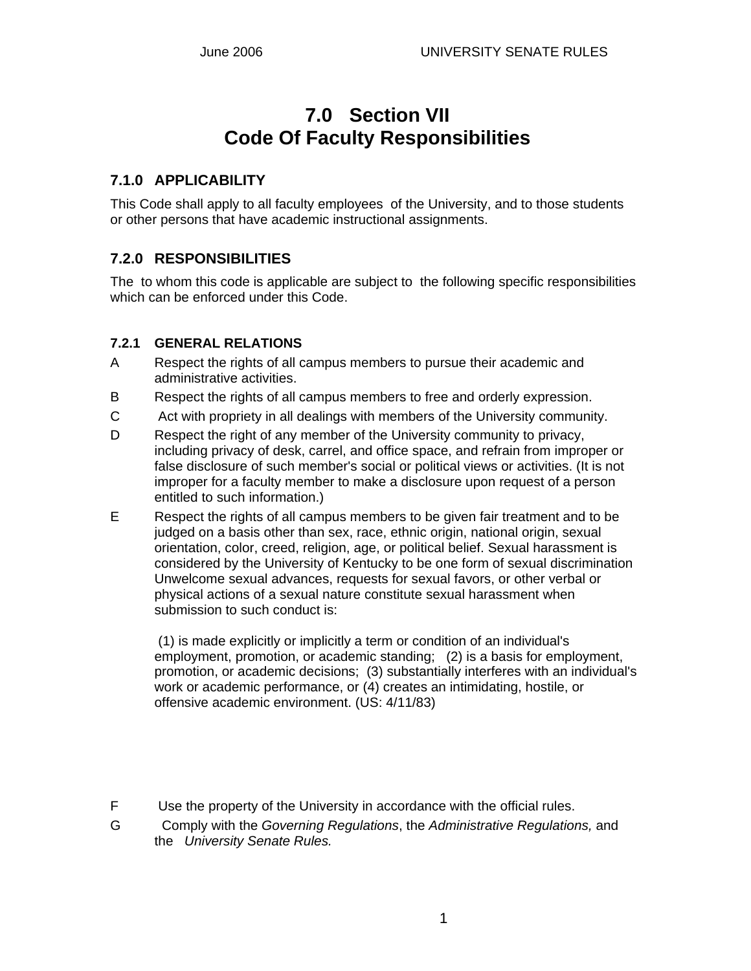# **7.0 Section VII Code Of Faculty Responsibilities**

## **7.1.0 APPLICABILITY**

This Code shall apply to all faculty employees of the University, and to those students or other persons that have academic instructional assignments.

### **7.2.0 RESPONSIBILITIES**

The to whom this code is applicable are subject to the following specific responsibilities which can be enforced under this Code.

#### **7.2.1 GENERAL RELATIONS**

- A Respect the rights of all campus members to pursue their academic and administrative activities.
- B Respect the rights of all campus members to free and orderly expression.
- C Act with propriety in all dealings with members of the University community.
- D Respect the right of any member of the University community to privacy, including privacy of desk, carrel, and office space, and refrain from improper or false disclosure of such member's social or political views or activities. (It is not improper for a faculty member to make a disclosure upon request of a person entitled to such information.)
- E Respect the rights of all campus members to be given fair treatment and to be judged on a basis other than sex, race, ethnic origin, national origin, sexual orientation, color, creed, religion, age, or political belief. Sexual harassment is considered by the University of Kentucky to be one form of sexual discrimination Unwelcome sexual advances, requests for sexual favors, or other verbal or physical actions of a sexual nature constitute sexual harassment when submission to such conduct is:

 (1) is made explicitly or implicitly a term or condition of an individual's employment, promotion, or academic standing; (2) is a basis for employment, promotion, or academic decisions; (3) substantially interferes with an individual's work or academic performance, or (4) creates an intimidating, hostile, or offensive academic environment. (US: 4/11/83)

- F Use the property of the University in accordance with the official rules.
- G Comply with the *Governing Regulations*, the *Administrative Regulations,* and the *University Senate Rules.*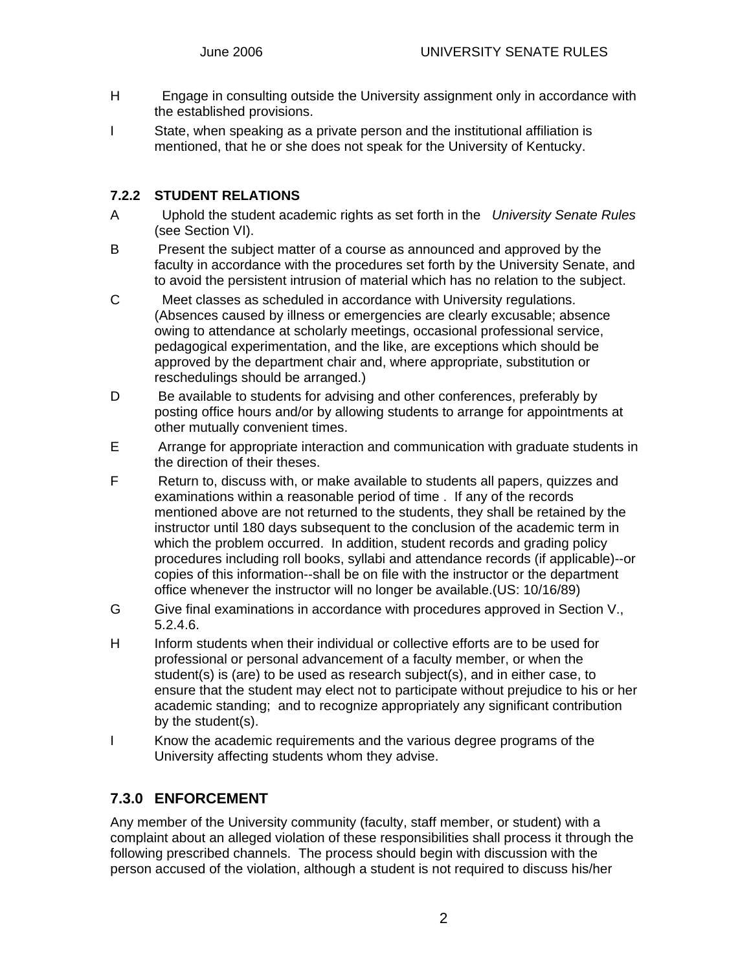- H Engage in consulting outside the University assignment only in accordance with the established provisions.
- I State, when speaking as a private person and the institutional affiliation is mentioned, that he or she does not speak for the University of Kentucky.

#### **7.2.2 STUDENT RELATIONS**

- A Uphold the student academic rights as set forth in the *University Senate Rules* (see Section VI).
- B Present the subject matter of a course as announced and approved by the faculty in accordance with the procedures set forth by the University Senate, and to avoid the persistent intrusion of material which has no relation to the subject.
- C Meet classes as scheduled in accordance with University regulations. (Absences caused by illness or emergencies are clearly excusable; absence owing to attendance at scholarly meetings, occasional professional service, pedagogical experimentation, and the like, are exceptions which should be approved by the department chair and, where appropriate, substitution or reschedulings should be arranged.)
- D Be available to students for advising and other conferences, preferably by posting office hours and/or by allowing students to arrange for appointments at other mutually convenient times.
- E Arrange for appropriate interaction and communication with graduate students in the direction of their theses.
- F Return to, discuss with, or make available to students all papers, quizzes and examinations within a reasonable period of time . If any of the records mentioned above are not returned to the students, they shall be retained by the instructor until 180 days subsequent to the conclusion of the academic term in which the problem occurred. In addition, student records and grading policy procedures including roll books, syllabi and attendance records (if applicable)--or copies of this information--shall be on file with the instructor or the department office whenever the instructor will no longer be available.(US: 10/16/89)
- G Give final examinations in accordance with procedures approved in Section V., 5.2.4.6.
- H Inform students when their individual or collective efforts are to be used for professional or personal advancement of a faculty member, or when the student(s) is (are) to be used as research subject(s), and in either case, to ensure that the student may elect not to participate without prejudice to his or her academic standing; and to recognize appropriately any significant contribution by the student(s).
- I Know the academic requirements and the various degree programs of the University affecting students whom they advise.

## **7.3.0 ENFORCEMENT**

Any member of the University community (faculty, staff member, or student) with a complaint about an alleged violation of these responsibilities shall process it through the following prescribed channels. The process should begin with discussion with the person accused of the violation, although a student is not required to discuss his/her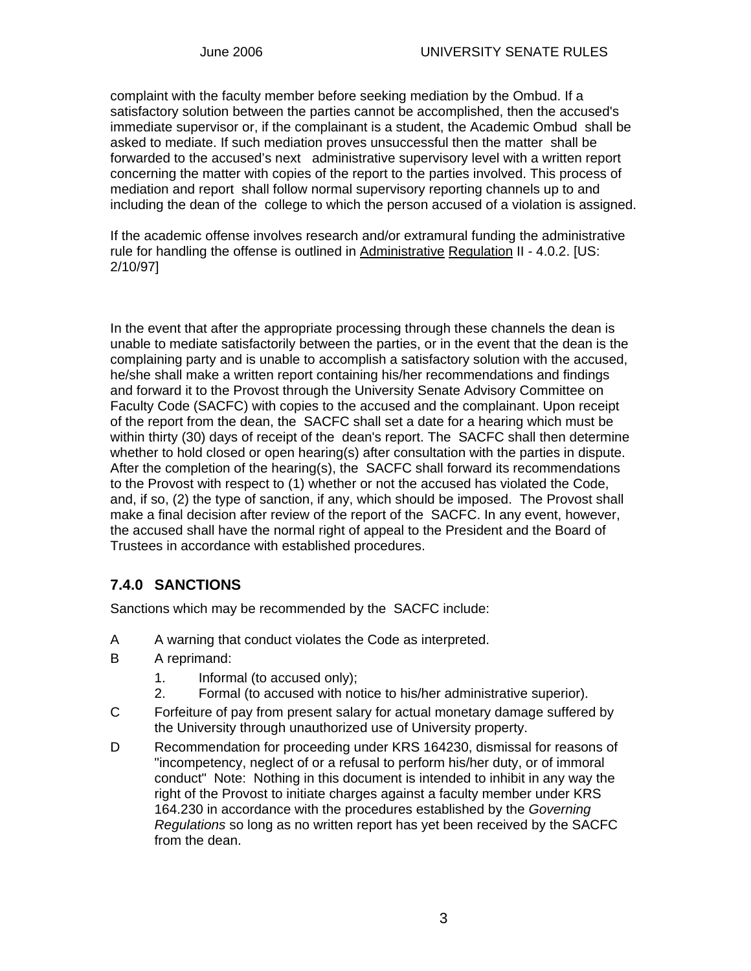complaint with the faculty member before seeking mediation by the Ombud. If a satisfactory solution between the parties cannot be accomplished, then the accused's immediate supervisor or, if the complainant is a student, the Academic Ombud shall be asked to mediate. If such mediation proves unsuccessful then the matter shall be forwarded to the accused's next administrative supervisory level with a written report concerning the matter with copies of the report to the parties involved. This process of mediation and report shall follow normal supervisory reporting channels up to and including the dean of the college to which the person accused of a violation is assigned.

If the academic offense involves research and/or extramural funding the administrative rule for handling the offense is outlined in Administrative Regulation II - 4.0.2. [US: 2/10/97]

In the event that after the appropriate processing through these channels the dean is unable to mediate satisfactorily between the parties, or in the event that the dean is the complaining party and is unable to accomplish a satisfactory solution with the accused, he/she shall make a written report containing his/her recommendations and findings and forward it to the Provost through the University Senate Advisory Committee on Faculty Code (SACFC) with copies to the accused and the complainant. Upon receipt of the report from the dean, the SACFC shall set a date for a hearing which must be within thirty (30) days of receipt of the dean's report. The SACFC shall then determine whether to hold closed or open hearing(s) after consultation with the parties in dispute. After the completion of the hearing(s), the SACFC shall forward its recommendations to the Provost with respect to (1) whether or not the accused has violated the Code, and, if so, (2) the type of sanction, if any, which should be imposed. The Provost shall make a final decision after review of the report of the SACFC. In any event, however, the accused shall have the normal right of appeal to the President and the Board of Trustees in accordance with established procedures.

## **7.4.0 SANCTIONS**

Sanctions which may be recommended by the SACFC include:

- A A warning that conduct violates the Code as interpreted.
- B A reprimand:
	- 1. Informal (to accused only);
	- 2. Formal (to accused with notice to his/her administrative superior).
- C Forfeiture of pay from present salary for actual monetary damage suffered by the University through unauthorized use of University property.
- D Recommendation for proceeding under KRS 164230, dismissal for reasons of "incompetency, neglect of or a refusal to perform his/her duty, or of immoral conduct" Note: Nothing in this document is intended to inhibit in any way the right of the Provost to initiate charges against a faculty member under KRS 164.230 in accordance with the procedures established by the *Governing Regulations* so long as no written report has yet been received by the SACFC from the dean.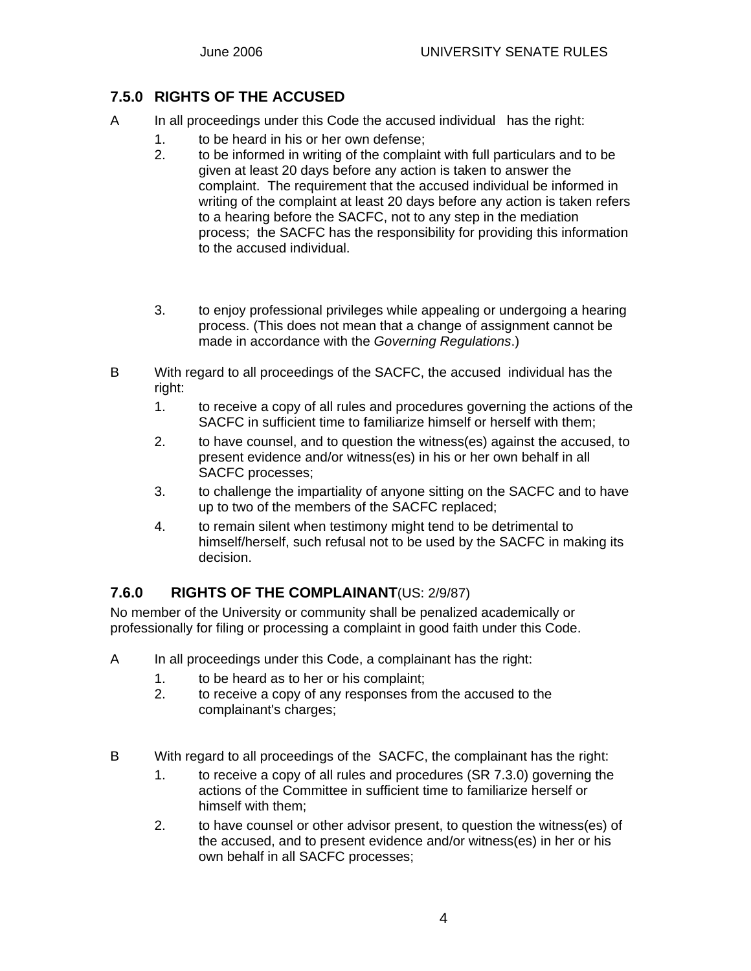## **7.5.0 RIGHTS OF THE ACCUSED**

- A In all proceedings under this Code the accused individual has the right:
	- 1. to be heard in his or her own defense;
	- 2. to be informed in writing of the complaint with full particulars and to be given at least 20 days before any action is taken to answer the complaint. The requirement that the accused individual be informed in writing of the complaint at least 20 days before any action is taken refers to a hearing before the SACFC, not to any step in the mediation process; the SACFC has the responsibility for providing this information to the accused individual.
	- 3. to enjoy professional privileges while appealing or undergoing a hearing process. (This does not mean that a change of assignment cannot be made in accordance with the *Governing Regulations*.)
- B With regard to all proceedings of the SACFC, the accused individual has the right:
	- 1. to receive a copy of all rules and procedures governing the actions of the SACFC in sufficient time to familiarize himself or herself with them;
	- 2. to have counsel, and to question the witness(es) against the accused, to present evidence and/or witness(es) in his or her own behalf in all SACFC processes;
	- 3. to challenge the impartiality of anyone sitting on the SACFC and to have up to two of the members of the SACFC replaced;
	- 4. to remain silent when testimony might tend to be detrimental to himself/herself, such refusal not to be used by the SACFC in making its decision.

## **7.6.0 RIGHTS OF THE COMPLAINANT**(US: 2/9/87)

No member of the University or community shall be penalized academically or professionally for filing or processing a complaint in good faith under this Code.

- A In all proceedings under this Code, a complainant has the right:
	- 1. to be heard as to her or his complaint;
	- 2. to receive a copy of any responses from the accused to the complainant's charges;
- B With regard to all proceedings of the SACFC, the complainant has the right:
	- 1. to receive a copy of all rules and procedures (SR 7.3.0) governing the actions of the Committee in sufficient time to familiarize herself or himself with them;
	- 2. to have counsel or other advisor present, to question the witness(es) of the accused, and to present evidence and/or witness(es) in her or his own behalf in all SACFC processes;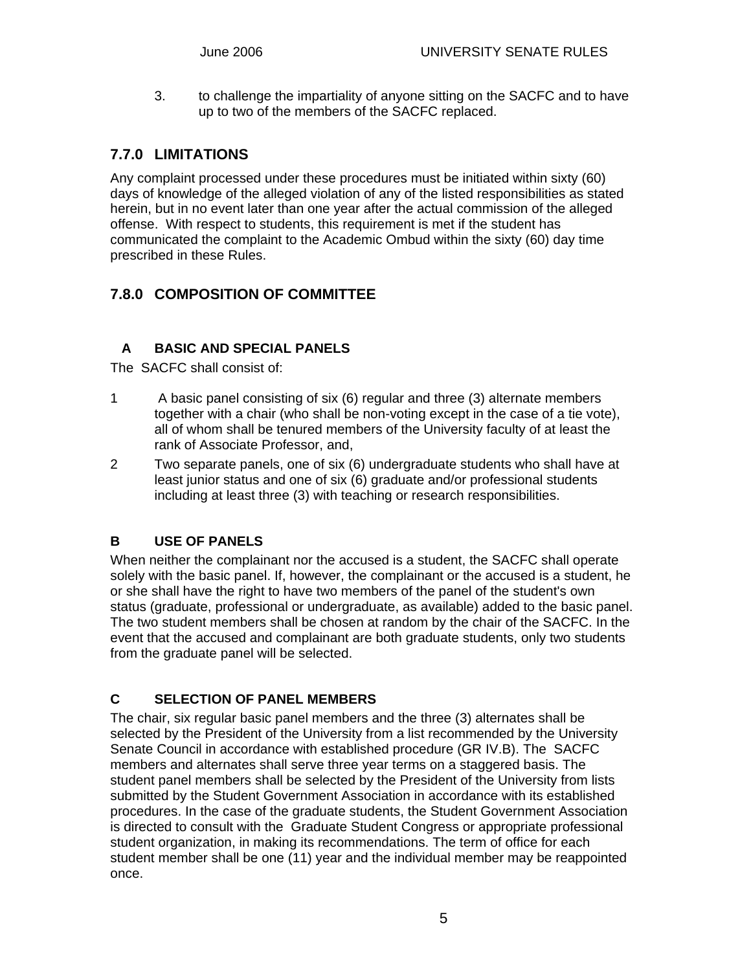3. to challenge the impartiality of anyone sitting on the SACFC and to have up to two of the members of the SACFC replaced.

## **7.7.0 LIMITATIONS**

Any complaint processed under these procedures must be initiated within sixty (60) days of knowledge of the alleged violation of any of the listed responsibilities as stated herein, but in no event later than one year after the actual commission of the alleged offense. With respect to students, this requirement is met if the student has communicated the complaint to the Academic Ombud within the sixty (60) day time prescribed in these Rules.

## **7.8.0 COMPOSITION OF COMMITTEE**

### **A BASIC AND SPECIAL PANELS**

The SACFC shall consist of:

- 1 A basic panel consisting of six (6) regular and three (3) alternate members together with a chair (who shall be non-voting except in the case of a tie vote), all of whom shall be tenured members of the University faculty of at least the rank of Associate Professor, and,
- 2 Two separate panels, one of six (6) undergraduate students who shall have at least junior status and one of six (6) graduate and/or professional students including at least three (3) with teaching or research responsibilities.

#### **B USE OF PANELS**

When neither the complainant nor the accused is a student, the SACFC shall operate solely with the basic panel. If, however, the complainant or the accused is a student, he or she shall have the right to have two members of the panel of the student's own status (graduate, professional or undergraduate, as available) added to the basic panel. The two student members shall be chosen at random by the chair of the SACFC. In the event that the accused and complainant are both graduate students, only two students from the graduate panel will be selected.

#### **C SELECTION OF PANEL MEMBERS**

The chair, six regular basic panel members and the three (3) alternates shall be selected by the President of the University from a list recommended by the University Senate Council in accordance with established procedure (GR IV.B). The SACFC members and alternates shall serve three year terms on a staggered basis. The student panel members shall be selected by the President of the University from lists submitted by the Student Government Association in accordance with its established procedures. In the case of the graduate students, the Student Government Association is directed to consult with the Graduate Student Congress or appropriate professional student organization, in making its recommendations. The term of office for each student member shall be one (11) year and the individual member may be reappointed once.